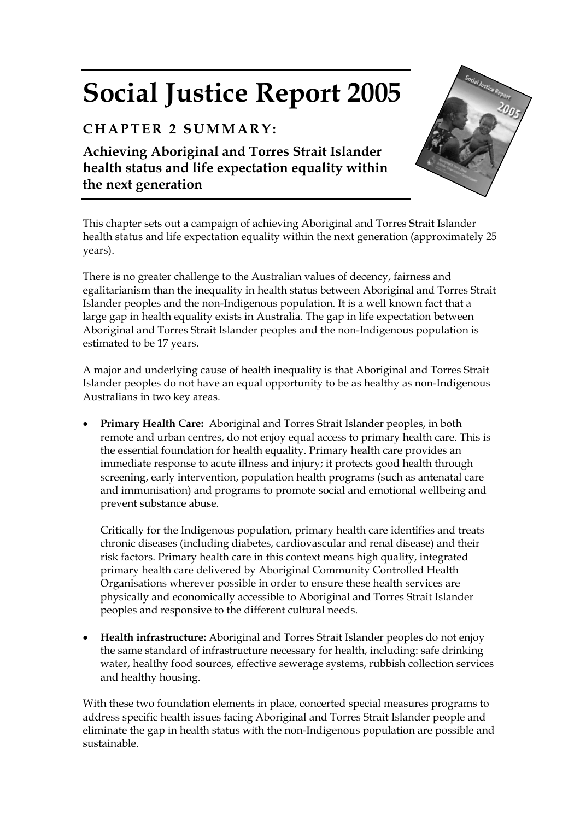# **Social Justice Report 2005**

# **CHAPTER 2 SUMMARY:**

**Achieving Aboriginal and Torres Strait Islander health status and life expectation equality within the next generation** 



This chapter sets out a campaign of achieving Aboriginal and Torres Strait Islander health status and life expectation equality within the next generation (approximately 25 years).

There is no greater challenge to the Australian values of decency, fairness and egalitarianism than the inequality in health status between Aboriginal and Torres Strait Islander peoples and the non-Indigenous population. It is a well known fact that a large gap in health equality exists in Australia. The gap in life expectation between Aboriginal and Torres Strait Islander peoples and the non-Indigenous population is estimated to be 17 years.

A major and underlying cause of health inequality is that Aboriginal and Torres Strait Islander peoples do not have an equal opportunity to be as healthy as non-Indigenous Australians in two key areas.

• **Primary Health Care:** Aboriginal and Torres Strait Islander peoples, in both remote and urban centres, do not enjoy equal access to primary health care. This is the essential foundation for health equality. Primary health care provides an immediate response to acute illness and injury; it protects good health through screening, early intervention, population health programs (such as antenatal care and immunisation) and programs to promote social and emotional wellbeing and prevent substance abuse.

Critically for the Indigenous population, primary health care identifies and treats chronic diseases (including diabetes, cardiovascular and renal disease) and their risk factors. Primary health care in this context means high quality, integrated primary health care delivered by Aboriginal Community Controlled Health Organisations wherever possible in order to ensure these health services are physically and economically accessible to Aboriginal and Torres Strait Islander peoples and responsive to the different cultural needs.

• **Health infrastructure:** Aboriginal and Torres Strait Islander peoples do not enjoy the same standard of infrastructure necessary for health, including: safe drinking water, healthy food sources, effective sewerage systems, rubbish collection services and healthy housing.

With these two foundation elements in place, concerted special measures programs to address specific health issues facing Aboriginal and Torres Strait Islander people and eliminate the gap in health status with the non-Indigenous population are possible and sustainable.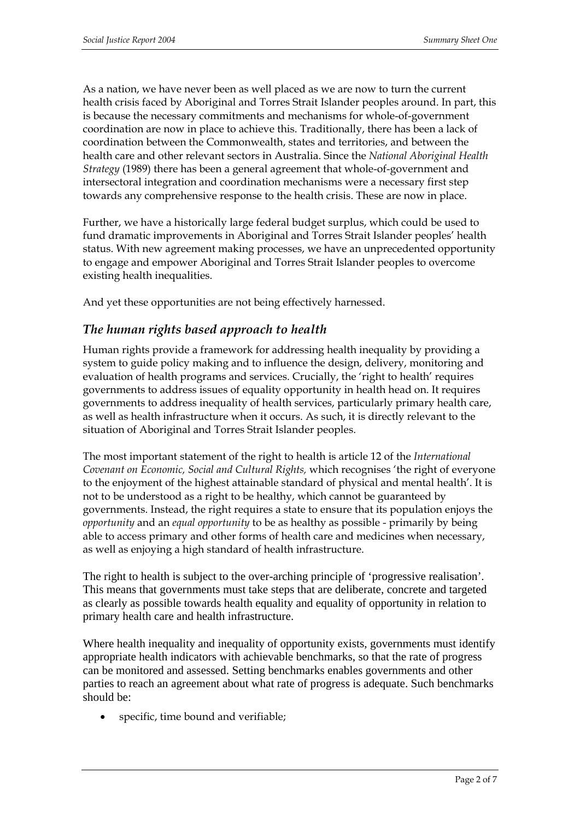As a nation, we have never been as well placed as we are now to turn the current health crisis faced by Aboriginal and Torres Strait Islander peoples around. In part, this is because the necessary commitments and mechanisms for whole-of-government coordination are now in place to achieve this. Traditionally, there has been a lack of coordination between the Commonwealth, states and territories, and between the health care and other relevant sectors in Australia. Since the *National Aboriginal Health Strategy* (1989) there has been a general agreement that whole-of-government and intersectoral integration and coordination mechanisms were a necessary first step towards any comprehensive response to the health crisis. These are now in place.

Further, we have a historically large federal budget surplus, which could be used to fund dramatic improvements in Aboriginal and Torres Strait Islander peoples' health status. With new agreement making processes, we have an unprecedented opportunity to engage and empower Aboriginal and Torres Strait Islander peoples to overcome existing health inequalities.

And yet these opportunities are not being effectively harnessed.

## *The human rights based approach to health*

Human rights provide a framework for addressing health inequality by providing a system to guide policy making and to influence the design, delivery, monitoring and evaluation of health programs and services. Crucially, the 'right to health' requires governments to address issues of equality opportunity in health head on. It requires governments to address inequality of health services, particularly primary health care, as well as health infrastructure when it occurs. As such, it is directly relevant to the situation of Aboriginal and Torres Strait Islander peoples.

The most important statement of the right to health is article 12 of the *International Covenant on Economic, Social and Cultural Rights,* which recognises 'the right of everyone to the enjoyment of the highest attainable standard of physical and mental health'. It is not to be understood as a right to be healthy, which cannot be guaranteed by governments. Instead, the right requires a state to ensure that its population enjoys the *opportunity* and an *equal opportunity* to be as healthy as possible - primarily by being able to access primary and other forms of health care and medicines when necessary, as well as enjoying a high standard of health infrastructure.

The right to health is subject to the over-arching principle of 'progressive realisation'*.*  This means that governments must take steps that are deliberate, concrete and targeted as clearly as possible towards health equality and equality of opportunity in relation to primary health care and health infrastructure.

Where health inequality and inequality of opportunity exists, governments must identify appropriate health indicators with achievable benchmarks, so that the rate of progress can be monitored and assessed. Setting benchmarks enables governments and other parties to reach an agreement about what rate of progress is adequate. Such benchmarks should be:

• specific, time bound and verifiable;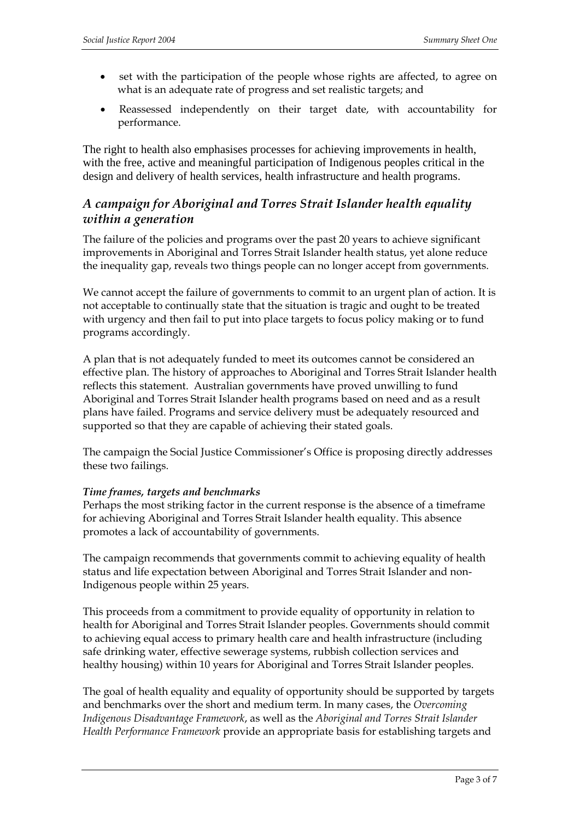- set with the participation of the people whose rights are affected, to agree on what is an adequate rate of progress and set realistic targets; and
- Reassessed independently on their target date, with accountability for performance.

The right to health also emphasises processes for achieving improvements in health, with the free, active and meaningful participation of Indigenous peoples critical in the design and delivery of health services, health infrastructure and health programs.

# *A campaign for Aboriginal and Torres Strait Islander health equality within a generation*

The failure of the policies and programs over the past 20 years to achieve significant improvements in Aboriginal and Torres Strait Islander health status, yet alone reduce the inequality gap, reveals two things people can no longer accept from governments.

We cannot accept the failure of governments to commit to an urgent plan of action. It is not acceptable to continually state that the situation is tragic and ought to be treated with urgency and then fail to put into place targets to focus policy making or to fund programs accordingly.

A plan that is not adequately funded to meet its outcomes cannot be considered an effective plan. The history of approaches to Aboriginal and Torres Strait Islander health reflects this statement. Australian governments have proved unwilling to fund Aboriginal and Torres Strait Islander health programs based on need and as a result plans have failed. Programs and service delivery must be adequately resourced and supported so that they are capable of achieving their stated goals.

The campaign the Social Justice Commissioner's Office is proposing directly addresses these two failings.

#### *Time frames, targets and benchmarks*

Perhaps the most striking factor in the current response is the absence of a timeframe for achieving Aboriginal and Torres Strait Islander health equality. This absence promotes a lack of accountability of governments.

The campaign recommends that governments commit to achieving equality of health status and life expectation between Aboriginal and Torres Strait Islander and non-Indigenous people within 25 years.

This proceeds from a commitment to provide equality of opportunity in relation to health for Aboriginal and Torres Strait Islander peoples. Governments should commit to achieving equal access to primary health care and health infrastructure (including safe drinking water, effective sewerage systems, rubbish collection services and healthy housing) within 10 years for Aboriginal and Torres Strait Islander peoples.

The goal of health equality and equality of opportunity should be supported by targets and benchmarks over the short and medium term. In many cases, the *Overcoming Indigenous Disadvantage Framework*, as well as the *Aboriginal and Torres Strait Islander Health Performance Framework* provide an appropriate basis for establishing targets and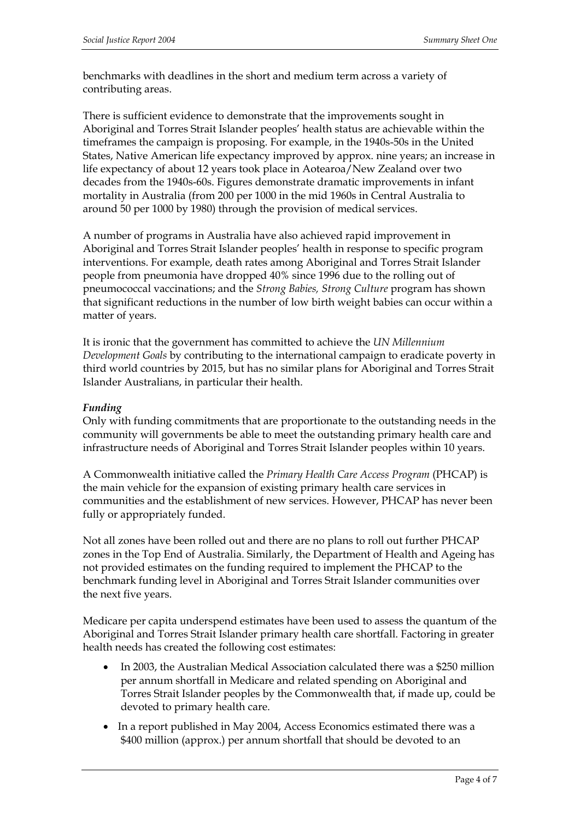benchmarks with deadlines in the short and medium term across a variety of contributing areas.

There is sufficient evidence to demonstrate that the improvements sought in Aboriginal and Torres Strait Islander peoples' health status are achievable within the timeframes the campaign is proposing. For example, in the 1940s-50s in the United States, Native American life expectancy improved by approx. nine years; an increase in life expectancy of about 12 years took place in Aotearoa/New Zealand over two decades from the 1940s-60s. Figures demonstrate dramatic improvements in infant mortality in Australia (from 200 per 1000 in the mid 1960s in Central Australia to around 50 per 1000 by 1980) through the provision of medical services.

A number of programs in Australia have also achieved rapid improvement in Aboriginal and Torres Strait Islander peoples' health in response to specific program interventions. For example, death rates among Aboriginal and Torres Strait Islander people from pneumonia have dropped 40% since 1996 due to the rolling out of pneumococcal vaccinations; and the *Strong Babies, Strong Culture* program has shown that significant reductions in the number of low birth weight babies can occur within a matter of years.

It is ironic that the government has committed to achieve the *UN Millennium Development Goals* by contributing to the international campaign to eradicate poverty in third world countries by 2015, but has no similar plans for Aboriginal and Torres Strait Islander Australians, in particular their health.

#### *Funding*

Only with funding commitments that are proportionate to the outstanding needs in the community will governments be able to meet the outstanding primary health care and infrastructure needs of Aboriginal and Torres Strait Islander peoples within 10 years.

A Commonwealth initiative called the *Primary Health Care Access Program* (PHCAP) is the main vehicle for the expansion of existing primary health care services in communities and the establishment of new services. However, PHCAP has never been fully or appropriately funded.

Not all zones have been rolled out and there are no plans to roll out further PHCAP zones in the Top End of Australia. Similarly, the Department of Health and Ageing has not provided estimates on the funding required to implement the PHCAP to the benchmark funding level in Aboriginal and Torres Strait Islander communities over the next five years.

Medicare per capita underspend estimates have been used to assess the quantum of the Aboriginal and Torres Strait Islander primary health care shortfall. Factoring in greater health needs has created the following cost estimates:

- In 2003, the Australian Medical Association calculated there was a \$250 million per annum shortfall in Medicare and related spending on Aboriginal and Torres Strait Islander peoples by the Commonwealth that, if made up, could be devoted to primary health care.
- In a report published in May 2004, Access Economics estimated there was a \$400 million (approx.) per annum shortfall that should be devoted to an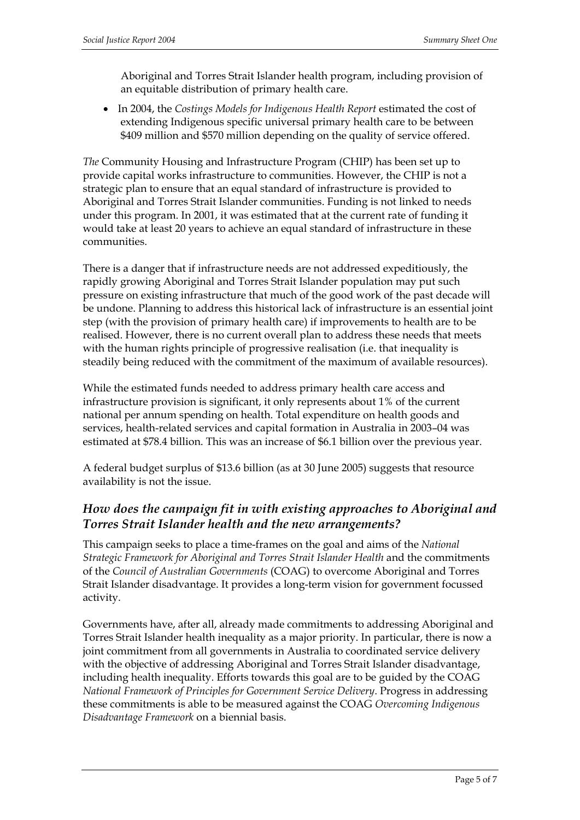Aboriginal and Torres Strait Islander health program, including provision of an equitable distribution of primary health care.

• In 2004, the *Costings Models for Indigenous Health Report* estimated the cost of extending Indigenous specific universal primary health care to be between \$409 million and \$570 million depending on the quality of service offered.

*The* Community Housing and Infrastructure Program (CHIP) has been set up to provide capital works infrastructure to communities. However, the CHIP is not a strategic plan to ensure that an equal standard of infrastructure is provided to Aboriginal and Torres Strait Islander communities. Funding is not linked to needs under this program. In 2001, it was estimated that at the current rate of funding it would take at least 20 years to achieve an equal standard of infrastructure in these communities.

There is a danger that if infrastructure needs are not addressed expeditiously, the rapidly growing Aboriginal and Torres Strait Islander population may put such pressure on existing infrastructure that much of the good work of the past decade will be undone. Planning to address this historical lack of infrastructure is an essential joint step (with the provision of primary health care) if improvements to health are to be realised. However, there is no current overall plan to address these needs that meets with the human rights principle of progressive realisation (i.e. that inequality is steadily being reduced with the commitment of the maximum of available resources).

While the estimated funds needed to address primary health care access and infrastructure provision is significant, it only represents about 1% of the current national per annum spending on health. Total expenditure on health goods and services, health-related services and capital formation in Australia in 2003–04 was estimated at \$78.4 billion. This was an increase of \$6.1 billion over the previous year.

A federal budget surplus of \$13.6 billion (as at 30 June 2005) suggests that resource availability is not the issue.

## *How does the campaign fit in with existing approaches to Aboriginal and Torres Strait Islander health and the new arrangements?*

This campaign seeks to place a time-frames on the goal and aims of the *National Strategic Framework for Aboriginal and Torres Strait Islander Health* and the commitments of the *Council of Australian Governments* (COAG) to overcome Aboriginal and Torres Strait Islander disadvantage. It provides a long-term vision for government focussed activity.

Governments have, after all, already made commitments to addressing Aboriginal and Torres Strait Islander health inequality as a major priority. In particular, there is now a joint commitment from all governments in Australia to coordinated service delivery with the objective of addressing Aboriginal and Torres Strait Islander disadvantage, including health inequality. Efforts towards this goal are to be guided by the COAG *National Framework of Principles for Government Service Delivery*. Progress in addressing these commitments is able to be measured against the COAG *Overcoming Indigenous Disadvantage Framework* on a biennial basis.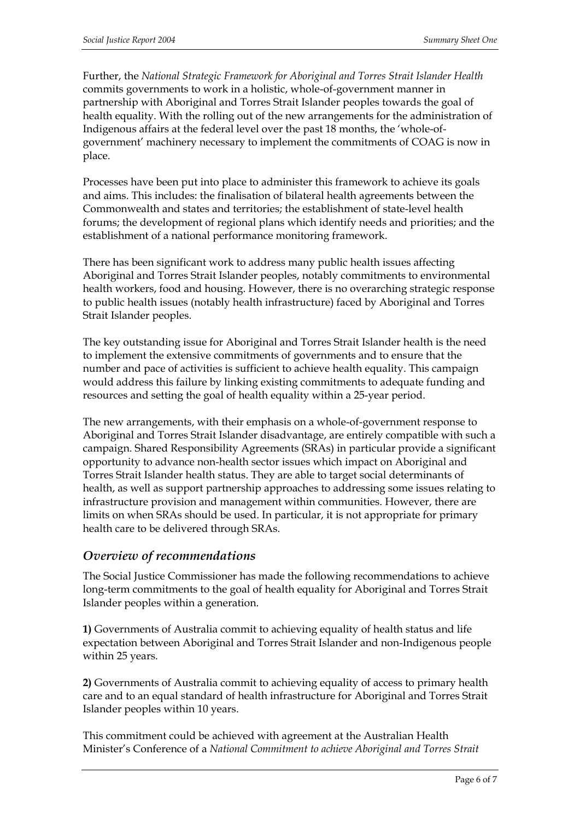Further, the *National Strategic Framework for Aboriginal and Torres Strait Islander Health* commits governments to work in a holistic, whole-of-government manner in partnership with Aboriginal and Torres Strait Islander peoples towards the goal of health equality. With the rolling out of the new arrangements for the administration of Indigenous affairs at the federal level over the past 18 months, the 'whole-ofgovernment' machinery necessary to implement the commitments of COAG is now in place.

Processes have been put into place to administer this framework to achieve its goals and aims. This includes: the finalisation of bilateral health agreements between the Commonwealth and states and territories; the establishment of state-level health forums; the development of regional plans which identify needs and priorities; and the establishment of a national performance monitoring framework.

There has been significant work to address many public health issues affecting Aboriginal and Torres Strait Islander peoples, notably commitments to environmental health workers, food and housing. However, there is no overarching strategic response to public health issues (notably health infrastructure) faced by Aboriginal and Torres Strait Islander peoples.

The key outstanding issue for Aboriginal and Torres Strait Islander health is the need to implement the extensive commitments of governments and to ensure that the number and pace of activities is sufficient to achieve health equality. This campaign would address this failure by linking existing commitments to adequate funding and resources and setting the goal of health equality within a 25-year period.

The new arrangements, with their emphasis on a whole-of-government response to Aboriginal and Torres Strait Islander disadvantage, are entirely compatible with such a campaign. Shared Responsibility Agreements (SRAs) in particular provide a significant opportunity to advance non-health sector issues which impact on Aboriginal and Torres Strait Islander health status. They are able to target social determinants of health, as well as support partnership approaches to addressing some issues relating to infrastructure provision and management within communities. However, there are limits on when SRAs should be used. In particular, it is not appropriate for primary health care to be delivered through SRAs.

#### *Overview of recommendations*

The Social Justice Commissioner has made the following recommendations to achieve long-term commitments to the goal of health equality for Aboriginal and Torres Strait Islander peoples within a generation.

**1)** Governments of Australia commit to achieving equality of health status and life expectation between Aboriginal and Torres Strait Islander and non-Indigenous people within 25 years.

**2)** Governments of Australia commit to achieving equality of access to primary health care and to an equal standard of health infrastructure for Aboriginal and Torres Strait Islander peoples within 10 years.

This commitment could be achieved with agreement at the Australian Health Minister's Conference of a *National Commitment to achieve Aboriginal and Torres Strait*